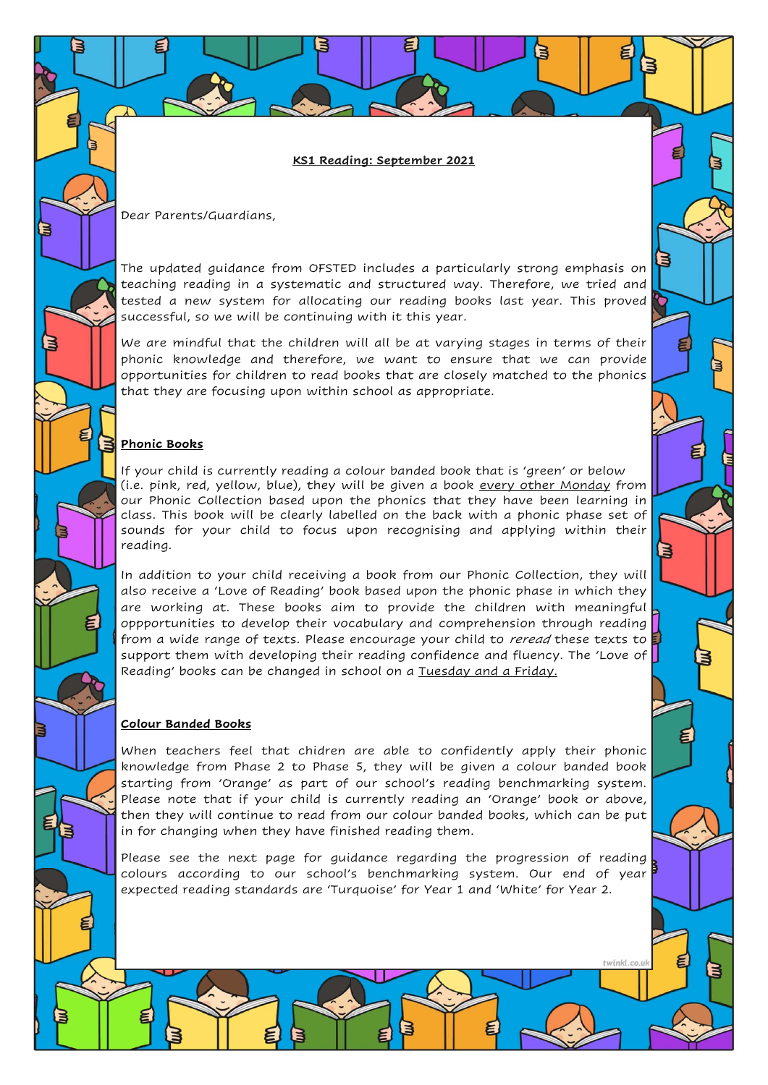**KS1 Reading: September 2021**

Dear Parents/Guardians,

The updated guidance from OFSTED includes a particularly strong emphasis on teaching reading in a systematic and structured way. Therefore, we tried and tested a new system for allocating our reading books last year. This proved successful, so we will be continuing with it this year.

We are mindful that the children will all be at varying stages in terms of their phonic knowledge and therefore, we want to ensure that we can provide opportunities for children to read books that are closely matched to the phonics that they are focusing upon within school as appropriate.

## **Phonic Books**

If your child is currently reading a colour banded book that is 'green' or below (i.e. pink, red, yellow, blue), they will be given a book every other Monday from our Phonic Collection based upon the phonics that they have been learning in class. This book will be clearly labelled on the back with a phonic phase set of sounds for your child to focus upon recognising and applying within their reading.

In addition to your child receiving a book from our Phonic Collection, they will also receive a 'Love of Reading' book based upon the phonic phase in which they are working at. These books aim to provide the children with meaningful oppportunities to develop their vocabulary and comprehension through reading from a wide range of texts. Please encourage your child to *reread* these texts to support them with developing their reading confidence and fluency. The 'Love of Reading' books can be changed in school on a Tuesday and a Friday.

## **Colour Banded Books**

When teachers feel that chidren are able to confidently apply their phonic knowledge from Phase 2 to Phase 5, they will be given a colour banded book starting from 'Orange' as part of our school's reading benchmarking system. Please note that if your child is currently reading an 'Orange' book or above, then they will continue to read from our colour banded books, which can be put in for changing when they have finished reading them.

Please see the next page for guidance regarding the progression of reading colours according to our school's benchmarking system. Our end of year expected reading standards are 'Turquoise' for Year 1 and 'White' for Year 2.